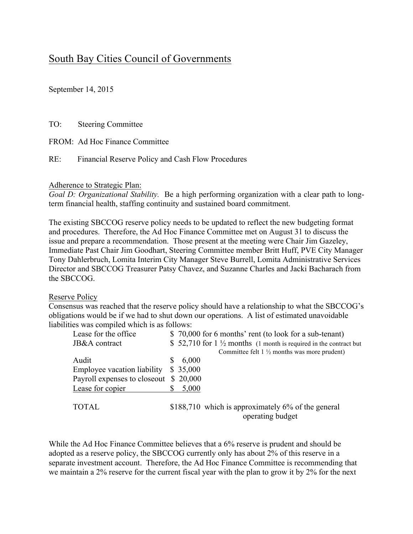# South Bay Cities Council of Governments

September 14, 2015

TO: Steering Committee

FROM: Ad Hoc Finance Committee

RE: Financial Reserve Policy and Cash Flow Procedures

#### Adherence to Strategic Plan:

*Goal D: Organizational Stability.* Be a high performing organization with a clear path to longterm financial health, staffing continuity and sustained board commitment.

The existing SBCCOG reserve policy needs to be updated to reflect the new budgeting format and procedures. Therefore, the Ad Hoc Finance Committee met on August 31 to discuss the issue and prepare a recommendation. Those present at the meeting were Chair Jim Gazeley, Immediate Past Chair Jim Goodhart, Steering Committee member Britt Huff, PVE City Manager Tony Dahlerbruch, Lomita Interim City Manager Steve Burrell, Lomita Administrative Services Director and SBCCOG Treasurer Patsy Chavez, and Suzanne Charles and Jacki Bacharach from the SBCCOG.

#### Reserve Policy

Consensus was reached that the reserve policy should have a relationship to what the SBCCOG's obligations would be if we had to shut down our operations. A list of estimated unavoidable liabilities was compiled which is as follows:

| \$70,000 for 6 months' rent (to look for a sub-tenant)                       |
|------------------------------------------------------------------------------|
| \$ 52,710 for $1\frac{1}{2}$ months (1 month is required in the contract but |
| Committee felt $1\frac{1}{2}$ months was more prudent)                       |
| 6,000<br>S                                                                   |
| \$35,000<br><b>Employee vacation liability</b>                               |
| Payroll expenses to close out \$20,000                                       |
| 5,000                                                                        |
|                                                                              |
| \$188,710 which is approximately 6% of the general                           |
| operating budget                                                             |
|                                                                              |

While the Ad Hoc Finance Committee believes that a 6% reserve is prudent and should be adopted as a reserve policy, the SBCCOG currently only has about 2% of this reserve in a separate investment account. Therefore, the Ad Hoc Finance Committee is recommending that we maintain a 2% reserve for the current fiscal year with the plan to grow it by 2% for the next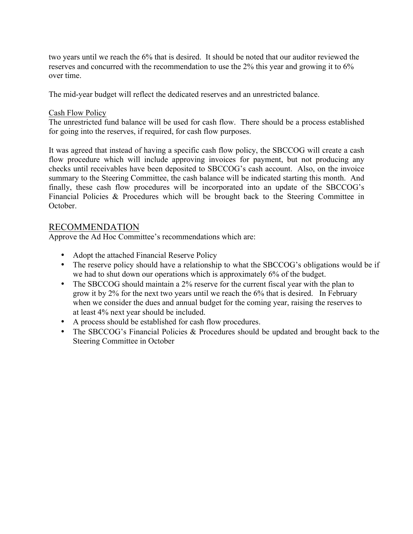two years until we reach the 6% that is desired. It should be noted that our auditor reviewed the reserves and concurred with the recommendation to use the 2% this year and growing it to 6% over time.

The mid-year budget will reflect the dedicated reserves and an unrestricted balance.

#### Cash Flow Policy

The unrestricted fund balance will be used for cash flow. There should be a process established for going into the reserves, if required, for cash flow purposes.

It was agreed that instead of having a specific cash flow policy, the SBCCOG will create a cash flow procedure which will include approving invoices for payment, but not producing any checks until receivables have been deposited to SBCCOG's cash account. Also, on the invoice summary to the Steering Committee, the cash balance will be indicated starting this month. And finally, these cash flow procedures will be incorporated into an update of the SBCCOG's Financial Policies & Procedures which will be brought back to the Steering Committee in October.

# RECOMMENDATION

Approve the Ad Hoc Committee's recommendations which are:

- Adopt the attached Financial Reserve Policy
- The reserve policy should have a relationship to what the SBCCOG's obligations would be if we had to shut down our operations which is approximately 6% of the budget.
- The SBCCOG should maintain a 2% reserve for the current fiscal year with the plan to grow it by 2% for the next two years until we reach the 6% that is desired. In February when we consider the dues and annual budget for the coming year, raising the reserves to at least 4% next year should be included.
- A process should be established for cash flow procedures.
- The SBCCOG's Financial Policies & Procedures should be updated and brought back to the Steering Committee in October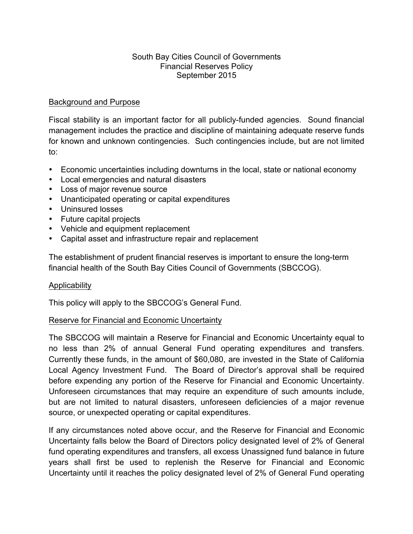# South Bay Cities Council of Governments Financial Reserves Policy September 2015

# Background and Purpose

Fiscal stability is an important factor for all publicly-funded agencies. Sound financial management includes the practice and discipline of maintaining adequate reserve funds for known and unknown contingencies. Such contingencies include, but are not limited to:

- Economic uncertainties including downturns in the local, state or national economy
- Local emergencies and natural disasters
- Loss of major revenue source
- Unanticipated operating or capital expenditures
- Uninsured losses
- Future capital projects
- Vehicle and equipment replacement
- Capital asset and infrastructure repair and replacement

The establishment of prudent financial reserves is important to ensure the long-term financial health of the South Bay Cities Council of Governments (SBCCOG).

## **Applicability**

This policy will apply to the SBCCOG's General Fund.

## Reserve for Financial and Economic Uncertainty

The SBCCOG will maintain a Reserve for Financial and Economic Uncertainty equal to no less than 2% of annual General Fund operating expenditures and transfers. Currently these funds, in the amount of \$60,080, are invested in the State of California Local Agency Investment Fund. The Board of Director's approval shall be required before expending any portion of the Reserve for Financial and Economic Uncertainty. Unforeseen circumstances that may require an expenditure of such amounts include, but are not limited to natural disasters, unforeseen deficiencies of a major revenue source, or unexpected operating or capital expenditures.

If any circumstances noted above occur, and the Reserve for Financial and Economic Uncertainty falls below the Board of Directors policy designated level of 2% of General fund operating expenditures and transfers, all excess Unassigned fund balance in future years shall first be used to replenish the Reserve for Financial and Economic Uncertainty until it reaches the policy designated level of 2% of General Fund operating